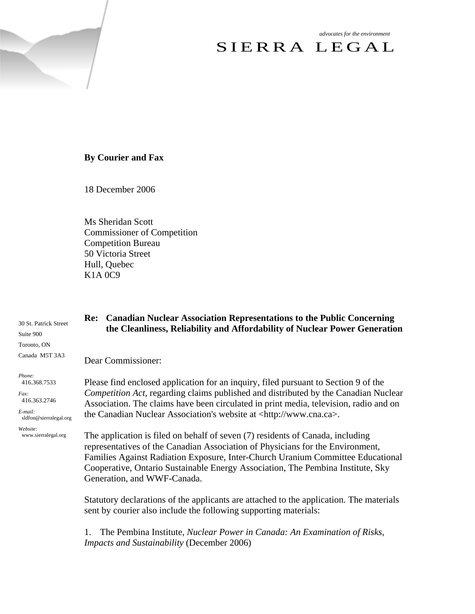*advocates for the environment* 

# SIERRA LEGAL

## **By Courier and Fax**

18 December 2006

Ms Sheridan Scott Commissioner of Competition Competition Bureau 50 Victoria Street Hull, Quebec K1A 0C9

30 St. Patrick Street Suite 900 Toronto, ON Canada M5T 3A3 *Phone:*  416.368.7533 *Fax:*  416.363.2746 *E-mail:*  sldfon@sierralegal.org *Website:* www.sierralegal.org **Re: Canadian Nuclear Association Representations to the Public Concerning the Cleanliness, Reliability and Affordability of Nuclear Power Generation**  Dear Commissioner: Please find enclosed application for an inquiry, filed pursuant to Section 9 of the *Competition Act,* regarding claims published and distributed by the Canadian Nuclear Association. The claims have been circulated in print media, television, radio and on the Canadian Nuclear Association's website at <http://www.cna.ca>. The application is filed on behalf of seven (7) residents of Canada, including representatives of the Canadian Association of Physicians for the Environment, Families Against Radiation Exposure, Inter-Church Uranium Committee Educational Cooperative, Ontario Sustainable Energy Association, The Pembina Institute, Sky Generation, and WWF-Canada. Statutory declarations of the applicants are attached to the application. The materials sent by courier also include the following supporting materials:

1. The Pembina Institute, *Nuclear Power in Canada: An Examination of Risks, Impacts and Sustainability* (December 2006)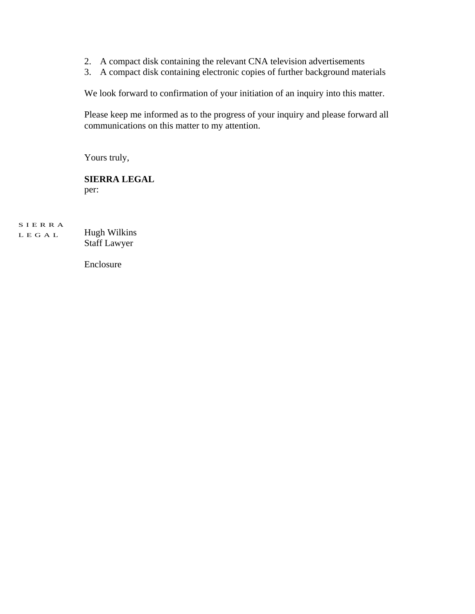- 2. A compact disk containing the relevant CNA television advertisements
- 3. A compact disk containing electronic copies of further background materials

We look forward to confirmation of your initiation of an inquiry into this matter.

Please keep me informed as to the progress of your inquiry and please forward all communications on this matter to my attention.

Yours truly,

## **SIERRA LEGAL**  per:

SIERRA LEGAL Hugh Wilkins Staff Lawyer

Enclosure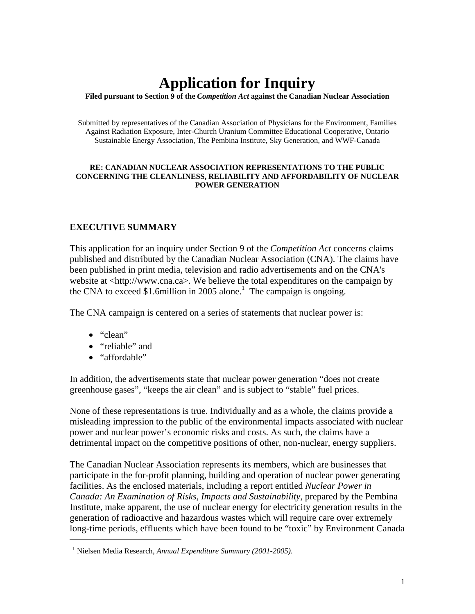# **Application for Inquiry**

**Filed pursuant to Section 9 of the** *Competition Act* **against the Canadian Nuclear Association** 

Submitted by representatives of the Canadian Association of Physicians for the Environment, Families Against Radiation Exposure, Inter-Church Uranium Committee Educational Cooperative, Ontario Sustainable Energy Association, The Pembina Institute, Sky Generation, and WWF-Canada

#### **RE: CANADIAN NUCLEAR ASSOCIATION REPRESENTATIONS TO THE PUBLIC CONCERNING THE CLEANLINESS, RELIABILITY AND AFFORDABILITY OF NUCLEAR POWER GENERATION**

## **EXECUTIVE SUMMARY**

This application for an inquiry under Section 9 of the *Competition Act* concerns claims published and distributed by the Canadian Nuclear Association (CNA). The claims have been published in print media, television and radio advertisements and on the CNA's website at <http://www.cna.ca>. We believe the total expenditures on the campaign by the CNA to exceed \$1.6million in 2005 alone.<sup>1</sup> The campaign is ongoing.

The CNA campaign is centered on a series of statements that nuclear power is:

• "clean"

 $\overline{a}$ 

- "reliable" and
- "affordable"

In addition, the advertisements state that nuclear power generation "does not create greenhouse gases", "keeps the air clean" and is subject to "stable" fuel prices.

None of these representations is true. Individually and as a whole, the claims provide a misleading impression to the public of the environmental impacts associated with nuclear power and nuclear power's economic risks and costs. As such, the claims have a detrimental impact on the competitive positions of other, non-nuclear, energy suppliers.

The Canadian Nuclear Association represents its members, which are businesses that participate in the for-profit planning, building and operation of nuclear power generating facilities. As the enclosed materials, including a report entitled *Nuclear Power in Canada: An Examination of Risks, Impacts and Sustainability*, prepared by the Pembina Institute, make apparent, the use of nuclear energy for electricity generation results in the generation of radioactive and hazardous wastes which will require care over extremely long-time periods, effluents which have been found to be "toxic" by Environment Canada

<sup>1</sup> Nielsen Media Research, *Annual Expenditure Summary (2001-2005)*.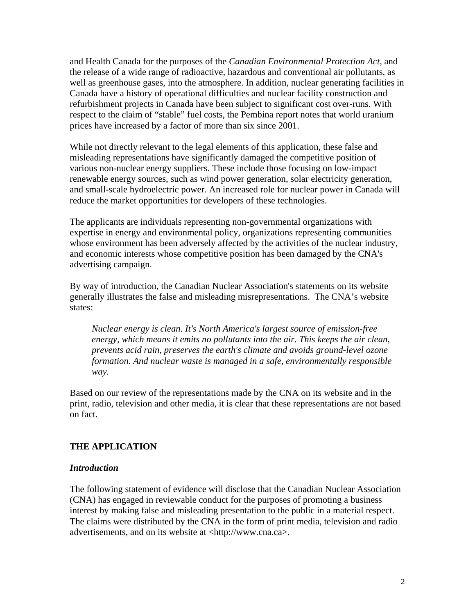and Health Canada for the purposes of the *Canadian Environmental Protection Act*, and the release of a wide range of radioactive, hazardous and conventional air pollutants, as well as greenhouse gases, into the atmosphere. In addition, nuclear generating facilities in Canada have a history of operational difficulties and nuclear facility construction and refurbishment projects in Canada have been subject to significant cost over-runs. With respect to the claim of "stable" fuel costs, the Pembina report notes that world uranium prices have increased by a factor of more than six since 2001.

While not directly relevant to the legal elements of this application, these false and misleading representations have significantly damaged the competitive position of various non-nuclear energy suppliers. These include those focusing on low-impact renewable energy sources, such as wind power generation, solar electricity generation, and small-scale hydroelectric power. An increased role for nuclear power in Canada will reduce the market opportunities for developers of these technologies.

The applicants are individuals representing non-governmental organizations with expertise in energy and environmental policy, organizations representing communities whose environment has been adversely affected by the activities of the nuclear industry, and economic interests whose competitive position has been damaged by the CNA's advertising campaign.

By way of introduction, the Canadian Nuclear Association's statements on its website generally illustrates the false and misleading misrepresentations. The CNA's website states:

*Nuclear energy is clean. It's North America's largest source of emission-free energy, which means it emits no pollutants into the air. This keeps the air clean, prevents acid rain, preserves the earth's climate and avoids ground-level ozone formation. And nuclear waste is managed in a safe, environmentally responsible way.*

Based on our review of the representations made by the CNA on its website and in the print, radio, television and other media, it is clear that these representations are not based on fact.

# **THE APPLICATION**

#### *Introduction*

The following statement of evidence will disclose that the Canadian Nuclear Association (CNA) has engaged in reviewable conduct for the purposes of promoting a business interest by making false and misleading presentation to the public in a material respect. The claims were distributed by the CNA in the form of print media, television and radio advertisements, and on its website at <http://www.cna.ca>.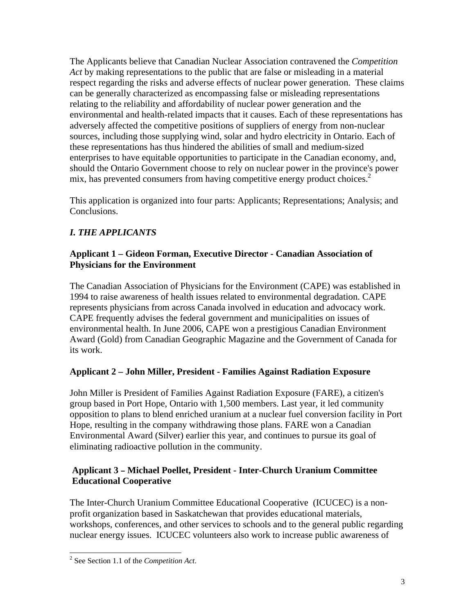The Applicants believe that Canadian Nuclear Association contravened the *Competition Act* by making representations to the public that are false or misleading in a material respect regarding the risks and adverse effects of nuclear power generation. These claims can be generally characterized as encompassing false or misleading representations relating to the reliability and affordability of nuclear power generation and the environmental and health-related impacts that it causes. Each of these representations has adversely affected the competitive positions of suppliers of energy from non-nuclear sources, including those supplying wind, solar and hydro electricity in Ontario. Each of these representations has thus hindered the abilities of small and medium-sized enterprises to have equitable opportunities to participate in the Canadian economy, and, should the Ontario Government choose to rely on nuclear power in the province's power mix, has prevented consumers from having competitive energy product choices.<sup>2</sup>

This application is organized into four parts: Applicants; Representations; Analysis; and Conclusions.

# *I. THE APPLICANTS*

## **Applicant 1 – Gideon Forman, Executive Director - Canadian Association of Physicians for the Environment**

The Canadian Association of Physicians for the Environment (CAPE) was established in 1994 to raise awareness of health issues related to environmental degradation. CAPE represents physicians from across Canada involved in education and advocacy work. CAPE frequently advises the federal government and municipalities on issues of environmental health. In June 2006, CAPE won a prestigious Canadian Environment Award (Gold) from Canadian Geographic Magazine and the Government of Canada for its work.

# **Applicant 2 – John Miller, President - Families Against Radiation Exposure**

John Miller is President of Families Against Radiation Exposure (FARE), a citizen's group based in Port Hope, Ontario with 1,500 members. Last year, it led community opposition to plans to blend enriched uranium at a nuclear fuel conversion facility in Port Hope, resulting in the company withdrawing those plans. FARE won a Canadian Environmental Award (Silver) earlier this year, and continues to pursue its goal of eliminating radioactive pollution in the community.

# **Applicant 3 – Michael Poellet, President - Inter-Church Uranium Committee Educational Cooperative**

The Inter-Church Uranium Committee Educational Cooperative (ICUCEC) is a nonprofit organization based in Saskatchewan that provides educational materials, workshops, conferences, and other services to schools and to the general public regarding nuclear energy issues. ICUCEC volunteers also work to increase public awareness of

 2 See Section 1.1 of the *Competition Act*.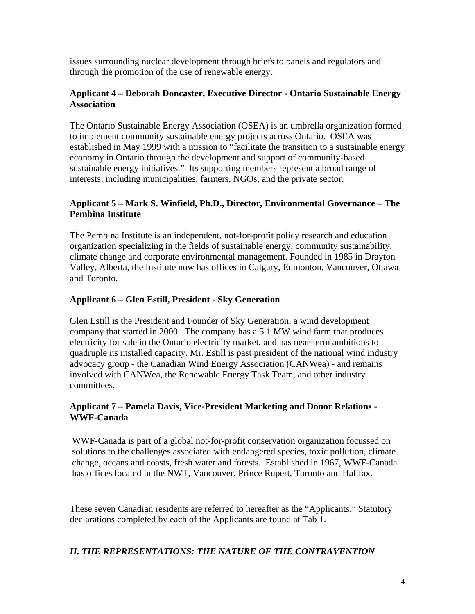issues surrounding nuclear development through briefs to panels and regulators and through the promotion of the use of renewable energy.

## **Applicant 4 – Deborah Doncaster, Executive Director - Ontario Sustainable Energy Association**

The Ontario Sustainable Energy Association (OSEA) is an umbrella organization formed to implement community sustainable energy projects across Ontario. OSEA was established in May 1999 with a mission to "facilitate the transition to a sustainable energy economy in Ontario through the development and support of community-based sustainable energy initiatives." Its supporting members represent a broad range of interests, including municipalities, farmers, NGOs, and the private sector.

## **Applicant 5 – Mark S. Winfield, Ph.D., Director, Environmental Governance – The Pembina Institute**

The Pembina Institute is an independent, not-for-profit policy research and education organization specializing in the fields of sustainable energy, community sustainability, climate change and corporate environmental management. Founded in 1985 in Drayton Valley, Alberta, the Institute now has offices in Calgary, Edmonton, Vancouver, Ottawa and Toronto.

# **Applicant 6 – Glen Estill, President - Sky Generation**

Glen Estill is the President and Founder of Sky Generation, a wind development company that started in 2000. The company has a 5.1 MW wind farm that produces electricity for sale in the Ontario electricity market, and has near-term ambitions to quadruple its installed capacity. Mr. Estill is past president of the national wind industry advocacy group - the Canadian Wind Energy Association (CANWea) - and remains involved with CANWea, the Renewable Energy Task Team, and other industry committees.

# **Applicant 7 – Pamela Davis, Vice-President Marketing and Donor Relations - WWF-Canada**

WWF-Canada is part of a global not-for-profit conservation organization focussed on solutions to the challenges associated with endangered species, toxic pollution, climate change, oceans and coasts, fresh water and forests. Established in 1967, WWF-Canada has offices located in the NWT, Vancouver, Prince Rupert, Toronto and Halifax.

These seven Canadian residents are referred to hereafter as the "Applicants." Statutory declarations completed by each of the Applicants are found at Tab 1.

# *II. THE REPRESENTATIONS: THE NATURE OF THE CONTRAVENTION*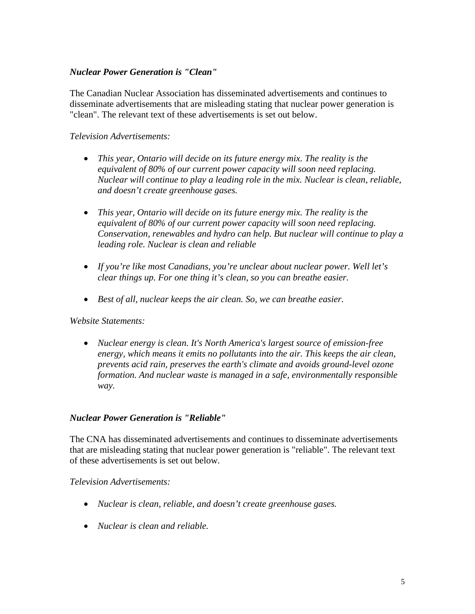# *Nuclear Power Generation is "Clean"*

The Canadian Nuclear Association has disseminated advertisements and continues to disseminate advertisements that are misleading stating that nuclear power generation is "clean". The relevant text of these advertisements is set out below.

# *Television Advertisements:*

- *This year, Ontario will decide on its future energy mix. The reality is the equivalent of 80% of our current power capacity will soon need replacing. Nuclear will continue to play a leading role in the mix. Nuclear is clean, reliable, and doesn't create greenhouse gases.*
- *This year, Ontario will decide on its future energy mix. The reality is the equivalent of 80% of our current power capacity will soon need replacing. Conservation, renewables and hydro can help. But nuclear will continue to play a leading role. Nuclear is clean and reliable*
- *If you're like most Canadians, you're unclear about nuclear power. Well let's clear things up. For one thing it's clean, so you can breathe easier.*
- *Best of all, nuclear keeps the air clean. So, we can breathe easier.*

## *Website Statements:*

• *Nuclear energy is clean. It's North America's largest source of emission-free energy, which means it emits no pollutants into the air. This keeps the air clean, prevents acid rain, preserves the earth's climate and avoids ground-level ozone formation. And nuclear waste is managed in a safe, environmentally responsible way.*

## *Nuclear Power Generation is "Reliable"*

The CNA has disseminated advertisements and continues to disseminate advertisements that are misleading stating that nuclear power generation is "reliable". The relevant text of these advertisements is set out below.

## *Television Advertisements:*

- *Nuclear is clean, reliable, and doesn't create greenhouse gases.*
- *Nuclear is clean and reliable.*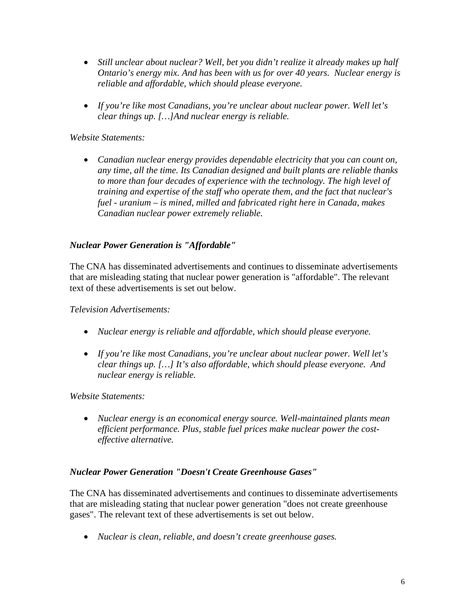- *Still unclear about nuclear? Well, bet you didn't realize it already makes up half Ontario's energy mix. And has been with us for over 40 years. Nuclear energy is reliable and affordable, which should please everyone.*
- *If you're like most Canadians, you're unclear about nuclear power. Well let's clear things up. […]And nuclear energy is reliable.*

*Website Statements:* 

• *Canadian nuclear energy provides dependable electricity that you can count on, any time, all the time. Its Canadian designed and built plants are reliable thanks to more than four decades of experience with the technology. The high level of training and expertise of the staff who operate them, and the fact that nuclear's fuel - uranium – is mined, milled and fabricated right here in Canada, makes Canadian nuclear power extremely reliable.* 

# *Nuclear Power Generation is "Affordable"*

The CNA has disseminated advertisements and continues to disseminate advertisements that are misleading stating that nuclear power generation is "affordable". The relevant text of these advertisements is set out below.

*Television Advertisements:* 

- *Nuclear energy is reliable and affordable, which should please everyone.*
- *If you're like most Canadians, you're unclear about nuclear power. Well let's clear things up. […] It's also affordable, which should please everyone. And nuclear energy is reliable.*

*Website Statements:* 

• *Nuclear energy is an economical energy source. Well-maintained plants mean efficient performance. Plus, stable fuel prices make nuclear power the costeffective alternative.*

## *Nuclear Power Generation "Doesn't Create Greenhouse Gases"*

The CNA has disseminated advertisements and continues to disseminate advertisements that are misleading stating that nuclear power generation "does not create greenhouse gases". The relevant text of these advertisements is set out below.

• *Nuclear is clean, reliable, and doesn't create greenhouse gases.*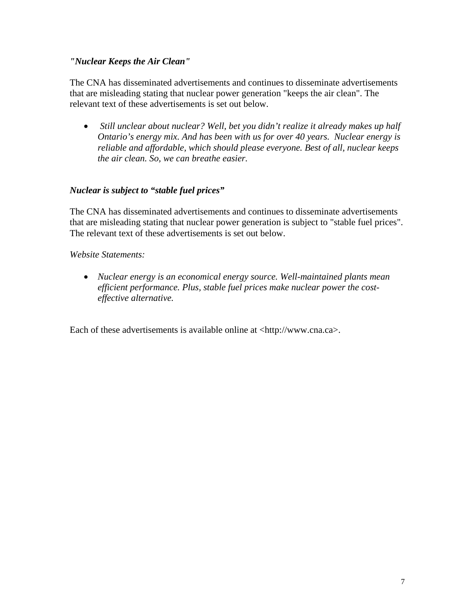## *"Nuclear Keeps the Air Clean"*

The CNA has disseminated advertisements and continues to disseminate advertisements that are misleading stating that nuclear power generation "keeps the air clean". The relevant text of these advertisements is set out below.

• *Still unclear about nuclear? Well, bet you didn't realize it already makes up half Ontario's energy mix. And has been with us for over 40 years. Nuclear energy is reliable and affordable, which should please everyone. Best of all, nuclear keeps the air clean. So, we can breathe easier.*

# *Nuclear is subject to "stable fuel prices"*

The CNA has disseminated advertisements and continues to disseminate advertisements that are misleading stating that nuclear power generation is subject to "stable fuel prices". The relevant text of these advertisements is set out below.

*Website Statements:* 

• *Nuclear energy is an economical energy source. Well-maintained plants mean efficient performance. Plus, stable fuel prices make nuclear power the costeffective alternative.*

Each of these advertisements is available online at <http://www.cna.ca>.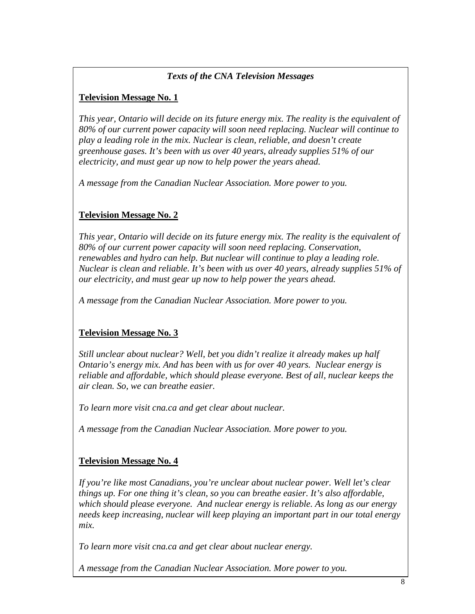# • *Texts of the CNA Television Messages*

# **Television Message No. 1**

*This year, Ontario will decide on its future energy mix. The reality is the equivalent of 80% of our current power capacity will soon need replacing. Nuclear will continue to play a leading role in the mix. Nuclear is clean, reliable, and doesn't create greenhouse gases. It's been with us over 40 years, already supplies 51% of our electricity, and must gear up now to help power the years ahead.* 

*A message from the Canadian Nuclear Association. More power to you.*

# **Television Message No. 2**

*This year, Ontario will decide on its future energy mix. The reality is the equivalent of 80% of our current power capacity will soon need replacing. Conservation, renewables and hydro can help. But nuclear will continue to play a leading role. Nuclear is clean and reliable. It's been with us over 40 years, already supplies 51% of our electricity, and must gear up now to help power the years ahead.* 

*A message from the Canadian Nuclear Association. More power to you.*

# **Television Message No. 3**

*Still unclear about nuclear? Well, bet you didn't realize it already makes up half Ontario's energy mix. And has been with us for over 40 years. Nuclear energy is reliable and affordable, which should please everyone. Best of all, nuclear keeps the air clean. So, we can breathe easier.* 

*To learn more visit cna.ca and get clear about nuclear.* 

*A message from the Canadian Nuclear Association. More power to you.*

# **Television Message No. 4**

*If you're like most Canadians, you're unclear about nuclear power. Well let's clear things up. For one thing it's clean, so you can breathe easier. It's also affordable, which should please everyone. And nuclear energy is reliable. As long as our energy needs keep increasing, nuclear will keep playing an important part in our total energy mix.* 

*To learn more visit cna.ca and get clear about nuclear energy.* 

*A message from the Canadian Nuclear Association. More power to you.*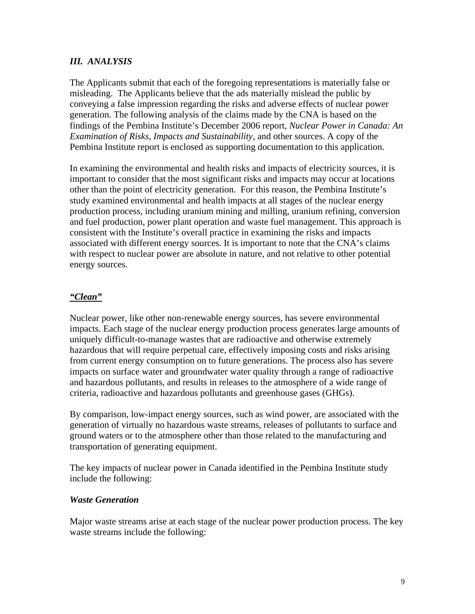# *III. ANALYSIS*

The Applicants submit that each of the foregoing representations is materially false or misleading. The Applicants believe that the ads materially mislead the public by conveying a false impression regarding the risks and adverse effects of nuclear power generation. The following analysis of the claims made by the CNA is based on the findings of the Pembina Institute's December 2006 report, *Nuclear Power in Canada: An Examination of Risks, Impacts and Sustainability*, and other sources. A copy of the Pembina Institute report is enclosed as supporting documentation to this application.

In examining the environmental and health risks and impacts of electricity sources, it is important to consider that the most significant risks and impacts may occur at locations other than the point of electricity generation. For this reason, the Pembina Institute's study examined environmental and health impacts at all stages of the nuclear energy production process, including uranium mining and milling, uranium refining, conversion and fuel production, power plant operation and waste fuel management. This approach is consistent with the Institute's overall practice in examining the risks and impacts associated with different energy sources. It is important to note that the CNA's claims with respect to nuclear power are absolute in nature, and not relative to other potential energy sources.

# *"Clean"*

Nuclear power, like other non-renewable energy sources, has severe environmental impacts. Each stage of the nuclear energy production process generates large amounts of uniquely difficult-to-manage wastes that are radioactive and otherwise extremely hazardous that will require perpetual care, effectively imposing costs and risks arising from current energy consumption on to future generations. The process also has severe impacts on surface water and groundwater water quality through a range of radioactive and hazardous pollutants, and results in releases to the atmosphere of a wide range of criteria, radioactive and hazardous pollutants and greenhouse gases (GHGs).

By comparison, low-impact energy sources, such as wind power, are associated with the generation of virtually no hazardous waste streams, releases of pollutants to surface and ground waters or to the atmosphere other than those related to the manufacturing and transportation of generating equipment.

The key impacts of nuclear power in Canada identified in the Pembina Institute study include the following:

# *Waste Generation*

Major waste streams arise at each stage of the nuclear power production process. The key waste streams include the following: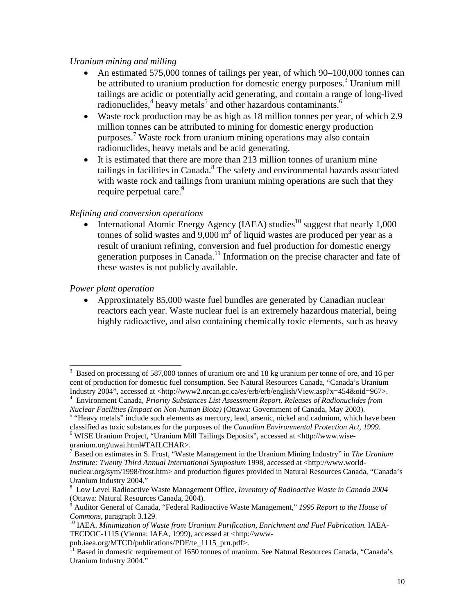## *Uranium mining and milling*

- An estimated 575,000 tonnes of tailings per year, of which 90–100,000 tonnes can be attributed to uranium production for domestic energy purposes.<sup>3</sup> Uranium mill tailings are acidic or potentially acid generating, and contain a range of long-lived radionuclides,<sup>4</sup> heavy metals<sup>5</sup> and other hazardous contaminants.<sup>6</sup>
- Waste rock production may be as high as 18 million tonnes per year, of which 2.9 million tonnes can be attributed to mining for domestic energy production purposes.7 Waste rock from uranium mining operations may also contain radionuclides, heavy metals and be acid generating.
- It is estimated that there are more than 213 million tonnes of uranium mine tailings in facilities in Canada.<sup>8</sup> The safety and environmental hazards associated with waste rock and tailings from uranium mining operations are such that they require perpetual care.<sup>9</sup>

## *Refining and conversion operations*

• International Atomic Energy Agency (IAEA) studies<sup>10</sup> suggest that nearly 1,000 tonnes of solid wastes and  $9,000 \text{ m}^3$  of liquid wastes are produced per year as a result of uranium refining, conversion and fuel production for domestic energy generation purposes in Canada.<sup>11</sup> Information on the precise character and fate of these wastes is not publicly available.

## *Power plant operation*

 $\overline{a}$ 

• Approximately 85,000 waste fuel bundles are generated by Canadian nuclear reactors each year. Waste nuclear fuel is an extremely hazardous material, being highly radioactive, and also containing chemically toxic elements, such as heavy

<sup>3</sup> Based on processing of 587,000 tonnes of uranium ore and 18 kg uranium per tonne of ore, and 16 per cent of production for domestic fuel consumption. See Natural Resources Canada, "Canada's Uranium Industry 2004", accessed at <http://www2.nrcan.gc.ca/es/erb/erb/english/View.asp?x=454&oid=967>. Environment Canada, *Priority Substances List Assessment Report. Releases of Radionuclides from* 

*Nuclear Facilities (Impact on Non-human Biota)* (Ottawa: Government of Canada, May 2003).

<sup>&</sup>lt;sup>5</sup> "Heavy metals" include such elements as mercury, lead, arsenic, nickel and cadmium, which have been classified as toxic substances for the purposes of the *Canadian Environmental Protection Act*, 1999.

WISE Uranium Project, "Uranium Mill Tailings Deposits", accessed at <http://www.wiseuranium.org/uwai.html#TAILCHAR>.

<sup>7</sup> Based on estimates in S. Frost, "Waste Management in the Uranium Mining Industry" in *The Uranium Institute: Twenty Third Annual International Symposium* 1998, accessed at <http://www.world-

nuclear.org/sym/1998/frost.htm> and production figures provided in Natural Resources Canada, "Canada's Uranium Industry 2004."

<sup>8</sup> Low Level Radioactive Waste Management Office, *Inventory of Radioactive Waste in Canada 2004*  (Ottawa: Natural Resources Canada, 2004).

<sup>9</sup> Auditor General of Canada, "Federal Radioactive Waste Management," *1995 Report to the House of Commons*, paragraph 3.129.<br><sup>10</sup> IAEA. *Minimization of Waste from Uranium Purification, Enrichment and Fuel Fabrication.* IAEA-

TECDOC-1115 (Vienna: IAEA, 1999), accessed at <http://www-<br>pub.iaea.org/MTCD/publications/PDF/te\_1115\_prn.pdf>.

<sup>&</sup>lt;sup>11</sup> Based in domestic requirement of 1650 tonnes of uranium. See Natural Resources Canada, "Canada's Uranium Industry 2004."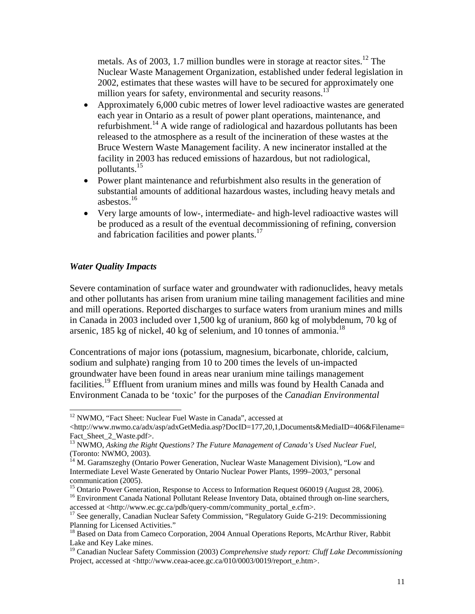metals. As of 2003, 1.7 million bundles were in storage at reactor sites.<sup>12</sup> The Nuclear Waste Management Organization, established under federal legislation in 2002, estimates that these wastes will have to be secured for approximately one million years for safety, environmental and security reasons.<sup>13</sup>

- Approximately 6,000 cubic metres of lower level radioactive wastes are generated each year in Ontario as a result of power plant operations, maintenance, and refurbishment.14 A wide range of radiological and hazardous pollutants has been released to the atmosphere as a result of the incineration of these wastes at the Bruce Western Waste Management facility. A new incinerator installed at the facility in 2003 has reduced emissions of hazardous, but not radiological, pollutants.15
- Power plant maintenance and refurbishment also results in the generation of substantial amounts of additional hazardous wastes, including heavy metals and asbestos.16
- Very large amounts of low-, intermediate- and high-level radioactive wastes will be produced as a result of the eventual decommissioning of refining, conversion and fabrication facilities and power plants.<sup>17</sup>

## *Water Quality Impacts*

 $\overline{a}$ 

Severe contamination of surface water and groundwater with radionuclides, heavy metals and other pollutants has arisen from uranium mine tailing management facilities and mine and mill operations. Reported discharges to surface waters from uranium mines and mills in Canada in 2003 included over 1,500 kg of uranium, 860 kg of molybdenum, 70 kg of arsenic, 185 kg of nickel, 40 kg of selenium, and 10 tonnes of ammonia.<sup>18</sup>

Concentrations of major ions (potassium, magnesium, bicarbonate, chloride, calcium, sodium and sulphate) ranging from 10 to 200 times the levels of un-impacted groundwater have been found in areas near uranium mine tailings management facilities.<sup>19</sup> Effluent from uranium mines and mills was found by Health Canada and Environment Canada to be 'toxic' for the purposes of the *Canadian Environmental* 

<sup>16</sup> Environment Canada National Pollutant Release Inventory Data, obtained through on-line searchers, accessed at  $\langle$ http://www.ec.gc.ca/pdb/query-comm/community portal e.cfm>.

<sup>&</sup>lt;sup>12</sup> NWMO, "Fact Sheet: Nuclear Fuel Waste in Canada", accessed at

<sup>&</sup>lt;http://www.nwmo.ca/adx/asp/adxGetMedia.asp?DocID=177,20,1,Documents&MediaID=406&Filename= Fact Sheet 2 Waste.pdf>.

<sup>&</sup>lt;sup>13</sup> NWMO, Asking the Right Questions? The Future Management of Canada's Used Nuclear Fuel, (Toronto: NWMO, 2003).

<sup>&</sup>lt;sup>14</sup> M. Garamszeghy (Ontario Power Generation, Nuclear Waste Management Division), "Low and Intermediate Level Waste Generated by Ontario Nuclear Power Plants, 1999–2003," personal communication (2005).

<sup>&</sup>lt;sup>15</sup> Ontario Power Generation, Response to Access to Information Request 060019 (August 28, 2006).

<sup>&</sup>lt;sup>17</sup> See generally, Canadian Nuclear Safety Commission, "Regulatory Guide G-219: Decommissioning Planning for Licensed Activities."

<sup>&</sup>lt;sup>18</sup> Based on Data from Cameco Corporation, 2004 Annual Operations Reports, McArthur River, Rabbit Lake and Key Lake mines.

<sup>19</sup> Canadian Nuclear Safety Commission (2003) *Comprehensive study report: Cluff Lake Decommissioning*  Project, accessed at <http://www.ceaa-acee.gc.ca/010/0003/0019/report\_e.htm>.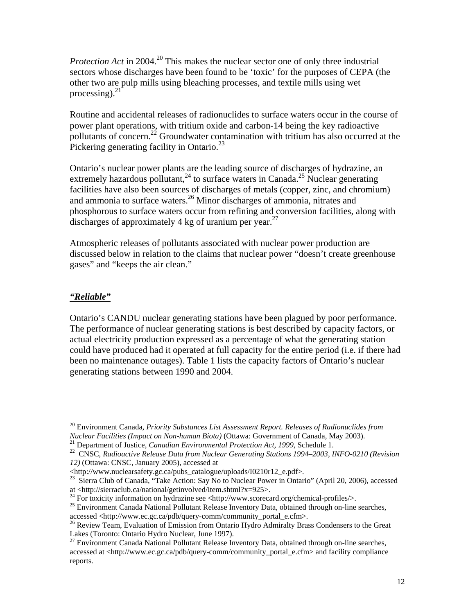*Protection Act* in 2004.<sup>20</sup> This makes the nuclear sector one of only three industrial sectors whose discharges have been found to be 'toxic' for the purposes of CEPA (the other two are pulp mills using bleaching processes, and textile mills using wet processing). $^{21}$ 

Routine and accidental releases of radionuclides to surface waters occur in the course of power plant operations, with tritium oxide and carbon-14 being the key radioactive pollutants of concern.<sup>22</sup> Groundwater contamination with tritium has also occurred at the Pickering generating facility in Ontario.<sup>23</sup>

Ontario's nuclear power plants are the leading source of discharges of hydrazine, an extremely hazardous pollutant,<sup>24</sup> to surface waters in Canada.<sup>25</sup> Nuclear generating facilities have also been sources of discharges of metals (copper, zinc, and chromium) and ammonia to surface waters.26 Minor discharges of ammonia, nitrates and phosphorous to surface waters occur from refining and conversion facilities, along with discharges of approximately 4 kg of uranium per year.<sup>27</sup>

Atmospheric releases of pollutants associated with nuclear power production are discussed below in relation to the claims that nuclear power "doesn't create greenhouse gases" and "keeps the air clean."

## *"Reliable"*

 $\overline{a}$ 

Ontario's CANDU nuclear generating stations have been plagued by poor performance. The performance of nuclear generating stations is best described by capacity factors, or actual electricity production expressed as a percentage of what the generating station could have produced had it operated at full capacity for the entire period (i.e. if there had been no maintenance outages). Table 1 lists the capacity factors of Ontario's nuclear generating stations between 1990 and 2004.

<sup>&</sup>lt;sup>20</sup> Environment Canada, *Priority Substances List Assessment Report. Releases of Radionuclides from Nuclear Facilities (Impact on Non-human Biota) (Ottawa: Government of Canada, May 2003).* 

<sup>&</sup>lt;sup>21</sup> Department of Justice, *Canadian Environmental Protection Act*, 1999, Schedule 1.<br><sup>22</sup> CNSC, *Radioactive Release Data from Nuclear Generating Stations 1994–2003, INFO-0210 (Revision 12)* (Ottawa: CNSC, January 2005), accessed at

<sup>&</sup>lt;http://www.nuclearsafety.gc.ca/pubs\_catalogue/uploads/I0210r12\_e.pdf>.

<sup>&</sup>lt;sup>23</sup> Sierra Club of Canada, "Take Action: Say No to Nuclear Power in Ontario" (April 20, 2006), accessed at <http://sierraclub.ca/national/getinvolved/item.shtml?x=925>.

<sup>&</sup>lt;sup>24</sup> For toxicity information on hydrazine see <http://www.scorecard.org/chemical-profiles/>.<br><sup>25</sup> Environment Canada National Pollutant Release Inventory Data, obtained through on-line searches, accessed <http://www.ec.gc.ca/pdb/query-comm/community\_portal\_e.cfm>.<br><sup>26</sup> Review Team, Evaluation of Emission from Ontario Hydro Admiralty Brass Condensers to the Great

Lakes (Toronto: Ontario Hydro Nuclear, June 1997).

 $27$  Environment Canada National Pollutant Release Inventory Data, obtained through on-line searches, accessed at <http://www.ec.gc.ca/pdb/query-comm/community\_portal\_e.cfm> and facility compliance reports.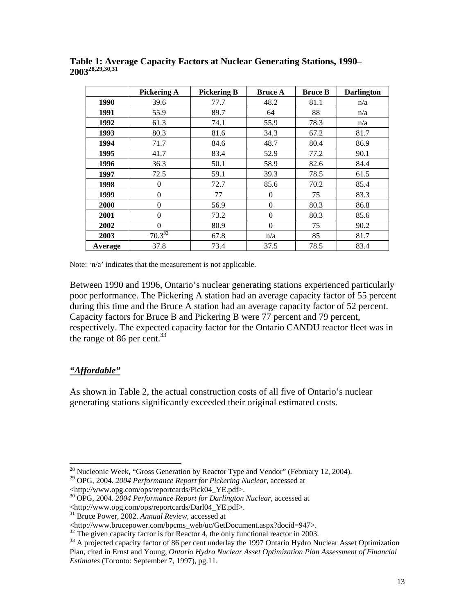|         | <b>Pickering A</b> | <b>Pickering B</b> | <b>Bruce A</b> | <b>Bruce B</b> | <b>Darlington</b> |
|---------|--------------------|--------------------|----------------|----------------|-------------------|
| 1990    | 39.6               | 77.7               | 48.2           | 81.1           | n/a               |
| 1991    | 55.9               | 89.7               | 64             | 88             | n/a               |
| 1992    | 61.3               | 74.1               | 55.9           | 78.3           | n/a               |
| 1993    | 80.3               | 81.6               | 34.3           | 67.2           | 81.7              |
| 1994    | 71.7               | 84.6               | 48.7           | 80.4           | 86.9              |
| 1995    | 41.7               | 83.4               | 52.9           | 77.2           | 90.1              |
| 1996    | 36.3               | 50.1               | 58.9           | 82.6           | 84.4              |
| 1997    | 72.5               | 59.1               | 39.3           | 78.5           | 61.5              |
| 1998    | $\theta$           | 72.7               | 85.6           | 70.2           | 85.4              |
| 1999    | $\theta$           | 77                 | $\theta$       | 75             | 83.3              |
| 2000    | $\theta$           | 56.9               | $\theta$       | 80.3           | 86.8              |
| 2001    | $\theta$           | 73.2               | $\theta$       | 80.3           | 85.6              |
| 2002    | $\Omega$           | 80.9               | $\theta$       | 75             | 90.2              |
| 2003    | $70.3^{32}$        | 67.8               | n/a            | 85             | 81.7              |
| Average | 37.8               | 73.4               | 37.5           | 78.5           | 83.4              |

**Table 1: Average Capacity Factors at Nuclear Generating Stations, 1990– 200328,29,30,31** 

Note: 'n/a' indicates that the measurement is not applicable.

Between 1990 and 1996, Ontario's nuclear generating stations experienced particularly poor performance. The Pickering A station had an average capacity factor of 55 percent during this time and the Bruce A station had an average capacity factor of 52 percent. Capacity factors for Bruce B and Pickering B were 77 percent and 79 percent, respectively. The expected capacity factor for the Ontario CANDU reactor fleet was in the range of 86 per cent. $33$ 

## *"Affordable"*

 $\overline{a}$ 

As shown in Table 2, the actual construction costs of all five of Ontario's nuclear generating stations significantly exceeded their original estimated costs.

 $^{28}$  Nucleonic Week, "Gross Generation by Reactor Type and Vendor" (February 12, 2004).

<sup>29</sup> OPG, 2004. *2004 Performance Report for Pickering Nuclear*, accessed at

<sup>\</sup>ttp://www.opg.com/ops/reportcards/Pick04\_YE.pdf>.<br><sup>30</sup> OPG, 2004. *2004 Performance Report for Darlington Nuclear*, accessed at <br>\ttp://www.opg.com/ops/reportcards/Darl04\_YE.pdf>.

<sup>&</sup>lt;sup>31</sup> Bruce Power, 2002. *Annual Review*, accessed at

<sup>&</sup>lt;http://www.brucepower.com/bpcms\_web/uc/GetDocument.aspx?docid=947>.<br><sup>32</sup> The given capacity factor is for Reactor 4, the only functional reactor in 2003.<br><sup>33</sup> A projected capacity factor of 86 per cent underlay the 1997 O Plan, cited in Ernst and Young, *Ontario Hydro Nuclear Asset Optimization Plan Assessment of Financial Estimates* (Toronto: September 7, 1997), pg.11.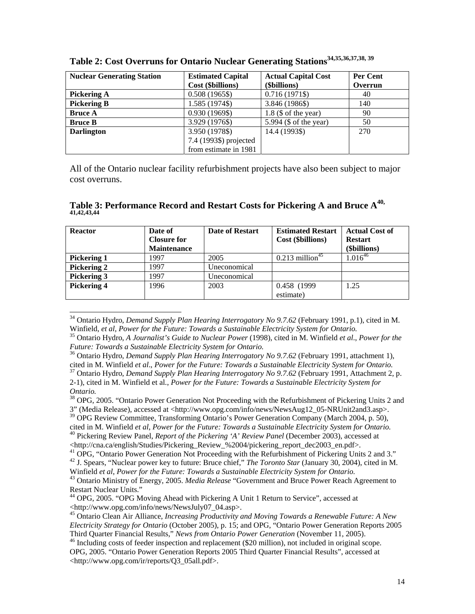| <b>Nuclear Generating Station</b> | <b>Estimated Capital</b> | <b>Actual Capital Cost</b> | Per Cent |
|-----------------------------------|--------------------------|----------------------------|----------|
|                                   | Cost (\$billions)        | (\$billions)               | Overrun  |
| Pickering A                       | $0.508(1965\$            | $0.716(1971\$              | 40       |
| <b>Pickering B</b>                | 1.585 (1974\$)           | 3.846 (1986\$)             | 140      |
| <b>Bruce A</b>                    | 0.930 (1969\$)           | $1.8$ (\$ of the year)     | 90       |
| <b>Bruce B</b>                    | 3.929 (1976\$)           | 5.994 (\$ of the year)     | 50       |
| <b>Darlington</b>                 | 3.950 (1978\$)           | 14.4 (1993\$)              | 270      |
|                                   | 7.4 (1993\$) projected   |                            |          |
|                                   | from estimate in 1981    |                            |          |

|  |  |  |  |  |  | Table 2: Cost Overruns for Ontario Nuclear Generating Stations <sup>34,35,36,37,38,39</sup> |
|--|--|--|--|--|--|---------------------------------------------------------------------------------------------|
|--|--|--|--|--|--|---------------------------------------------------------------------------------------------|

All of the Ontario nuclear facility refurbishment projects have also been subject to major cost overruns.

## Table 3: Performance Record and Restart Costs for Pickering A and Bruce A<sup>40,</sup> **41,42,43,44**

| <b>Reactor</b>     | Date of<br><b>Closure for</b><br><b>Maintenance</b> | <b>Date of Restart</b> | <b>Estimated Restart</b><br>Cost (\$billions) | <b>Actual Cost of</b><br><b>Restart</b><br>(\$billions) |
|--------------------|-----------------------------------------------------|------------------------|-----------------------------------------------|---------------------------------------------------------|
| <b>Pickering 1</b> | 1997                                                | 2005                   | $0.213$ million <sup>45</sup>                 | $1.016^{46}$                                            |
| Pickering 2        | 1997                                                | Uneconomical           |                                               |                                                         |
| Pickering 3        | 1997                                                | Uneconomical           |                                               |                                                         |
| <b>Pickering 4</b> | 1996                                                | 2003                   | 0.458 (1999)                                  | 1.25                                                    |
|                    |                                                     |                        | estimate)                                     |                                                         |

<sup>34</sup> Ontario Hydro, *Demand Supply Plan Hearing Interrogatory No 9.7.62* (February 1991, p.1), cited in M. Winfield, et al, Power for the Future: Towards a Sustainable Electricity System for Ontario.<br><sup>35</sup> Ontario Hydro, A Journalist's Guide to Nuclear Power (1998), cited in M. Winfield et al., Power for the

 $\overline{a}$ 

 $39$  OPG Review Committee, Transforming Ontario's Power Generation Company (March 2004, p. 50), cited in M. Winfield *et al, Power for the Future: Towards a Sustainable Electricity System for Ontario*. <sup>40</sup> Pickering Review Panel, *Report of the Pickering 'A' Review Panel* (December 2003), accessed at

<http://cna.ca/english/Studies/Pickering\_Review\_%2004/pickering\_report\_dec2003\_en.pdf>.

*Future: Towards a Sustainable Electricity System for Ontario.*

<sup>&</sup>lt;sup>36</sup> Ontario Hydro, *Demand Supply Plan Hearing Interrogatory No 9.7.62* (February 1991, attachment 1), cited in M. Winfield et al., Power for the Future: Towards a Sustainable Electricity System for Ontario.

<sup>&</sup>lt;sup>37</sup> Ontario Hydro, *Demand Supply Plan Hearing Interrogatory No* 9.7.62 (February 1991, Attachment 2, p. 2-1), cited in M. Winfield et al., *Power for the Future: Towards a Sustainable Electricity System for Ontario.*

<sup>&</sup>lt;sup>38</sup> OPG, 2005. "Ontario Power Generation Not Proceeding with the Refurbishment of Pickering Units 2 and 3" (Media Release), accessed at <http://www.opg.com/info/news/NewsAug12\_05-NRUnit2and3.asp>.

<sup>&</sup>lt;sup>41</sup> OPG, "Ontario Power Generation Not Proceeding with the Refurbishment of Pickering Units 2 and 3."

<sup>42</sup> J. Spears, "Nuclear power key to future: Bruce chief," *The Toronto Star* (January 30, 2004), cited in M.

Winfield *et al*, *Power for the Future: Towards a Sustainable Electricity System for Ontario.* 43 Ontario Ministry of Energy, 2005. *Media Release* "Government and Bruce Power Reach Agreement to Restart Nuclear Units."

<sup>44</sup> OPG, 2005. "OPG Moving Ahead with Pickering A Unit 1 Return to Service", accessed at <http://www.opg.com/info/news/NewsJuly07\_04.asp>.

<sup>45</sup> Ontario Clean Air Alliance, *Increasing Productivity and Moving Towards a Renewable Future: A New Electricity Strategy for Ontario* (October 2005), p. 15; and OPG, "Ontario Power Generation Reports 2005

<sup>&</sup>lt;sup>46</sup> Including costs of feeder inspection and replacement (\$20 million), not included in original scope. OPG, 2005. "Ontario Power Generation Reports 2005 Third Quarter Financial Results", accessed at <http://www.opg.com/ir/reports/Q3\_05all.pdf>.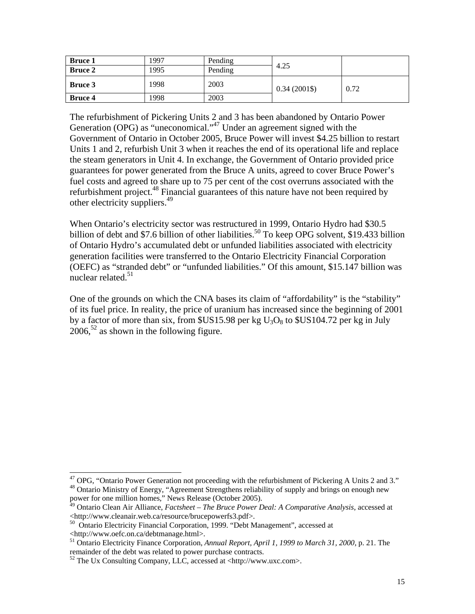| <b>Bruce 1</b> | 1997 | Pending | 4.25         |      |
|----------------|------|---------|--------------|------|
| <b>Bruce 2</b> | 1995 | Pending |              |      |
| <b>Bruce 3</b> | 1998 | 2003    | $0.34(2001\$ | 0.72 |
| <b>Bruce 4</b> | 1998 | 2003    |              |      |

The refurbishment of Pickering Units 2 and 3 has been abandoned by Ontario Power Generation (OPG) as "uneconomical."<sup>47</sup> Under an agreement signed with the Government of Ontario in October 2005, Bruce Power will invest \$4.25 billion to restart Units 1 and 2, refurbish Unit 3 when it reaches the end of its operational life and replace the steam generators in Unit 4. In exchange, the Government of Ontario provided price guarantees for power generated from the Bruce A units, agreed to cover Bruce Power's fuel costs and agreed to share up to 75 per cent of the cost overruns associated with the refurbishment project.<sup>48</sup> Financial guarantees of this nature have not been required by other electricity suppliers.49

When Ontario's electricity sector was restructured in 1999, Ontario Hydro had \$30.5 billion of debt and \$7.6 billion of other liabilities.<sup>50</sup> To keep OPG solvent, \$19.433 billion of Ontario Hydro's accumulated debt or unfunded liabilities associated with electricity generation facilities were transferred to the Ontario Electricity Financial Corporation (OEFC) as "stranded debt" or "unfunded liabilities." Of this amount, \$15.147 billion was nuclear related.<sup>51</sup>

One of the grounds on which the CNA bases its claim of "affordability" is the "stability" of its fuel price. In reality, the price of uranium has increased since the beginning of 2001 by a factor of more than six, from  $US15.98$  per kg  $U_3O_8$  to  $SU5104.72$  per kg in July  $2006$ <sup>52</sup> as shown in the following figure.

 $\overline{a}$ 

 $47$  OPG, "Ontario Power Generation not proceeding with the refurbishment of Pickering A Units 2 and 3." <sup>48</sup> Ontario Ministry of Energy, "Agreement Strengthens reliability of supply and brings on enough new power for one million homes," News Release (October 2005).

<sup>49</sup> Ontario Clean Air Alliance, *Factsheet – The Bruce Power Deal: A Comparative Analysis*, accessed at <http://www.cleanair.web.ca/resource/brucepowerfs3.pdf>. 50 Ontario Electricity Financial Corporation, 1999. "Debt Management", accessed at

<sup>&</sup>lt;http://www.oefc.on.ca/debtmanage.html>.

<sup>51</sup> Ontario Electricity Finance Corporation, *Annual Report, April 1, 1999 to March 31, 2000*, p. 21. The remainder of the debt was related to power purchase contracts.

 $52$  The Ux Consulting Company, LLC, accessed at <http://www.uxc.com>.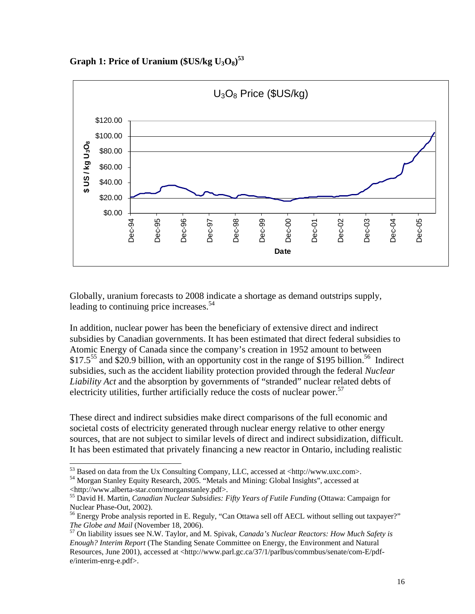**Graph 1: Price of Uranium (\$US/kg U3O8) 53** 



Globally, uranium forecasts to 2008 indicate a shortage as demand outstrips supply, leading to continuing price increases.<sup>54</sup>

In addition, nuclear power has been the beneficiary of extensive direct and indirect subsidies by Canadian governments. It has been estimated that direct federal subsidies to Atomic Energy of Canada since the company's creation in 1952 amount to between \$17.5<sup>55</sup> and \$20.9 billion, with an opportunity cost in the range of \$195 billion.<sup>56</sup> Indirect subsidies, such as the accident liability protection provided through the federal *Nuclear Liability Act* and the absorption by governments of "stranded" nuclear related debts of electricity utilities, further artificially reduce the costs of nuclear power.<sup>57</sup>

These direct and indirect subsidies make direct comparisons of the full economic and societal costs of electricity generated through nuclear energy relative to other energy sources, that are not subject to similar levels of direct and indirect subsidization, difficult. It has been estimated that privately financing a new reactor in Ontario, including realistic

<sup>&</sup>lt;sup>53</sup> Based on data from the Ux Consulting Company, LLC, accessed at <http://www.uxc.com>.

<sup>&</sup>lt;sup>54</sup> Morgan Stanley Equity Research, 2005. "Metals and Mining: Global Insights", accessed at <http://www.alberta-star.com/morganstanley.pdf>.

<sup>55</sup> David H. Martin, *Canadian Nuclear Subsidies: Fifty Years of Futile Funding* (Ottawa: Campaign for Nuclear Phase-Out, 2002).

<sup>&</sup>lt;sup>56</sup> Energy Probe analysis reported in E. Reguly, "Can Ottawa sell off AECL without selling out taxpayer?" *The Globe and Mail* (November 18, 2006).<br><sup>57</sup> On liability issues see N.W. Taylor, and M. Spivak, *Canada's Nuclear Reactors: How Much Safety is* 

*Enough? Interim Report* (The Standing Senate Committee on Energy, the Environment and Natural Resources, June 2001), accessed at <http://www.parl.gc.ca/37/1/parlbus/commbus/senate/com-E/pdfe/interim-enrg-e.pdf>.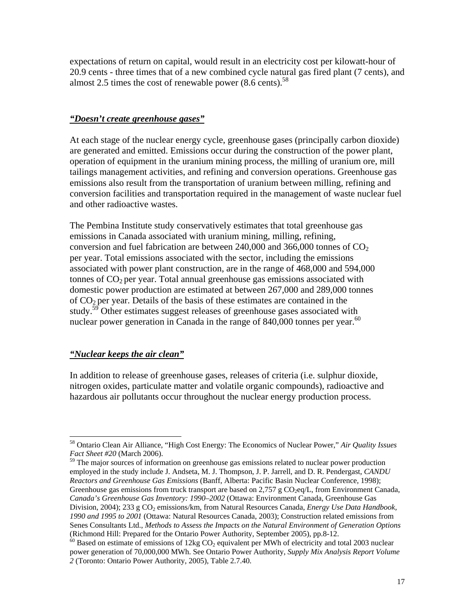expectations of return on capital, would result in an electricity cost per kilowatt-hour of 20.9 cents - three times that of a new combined cycle natural gas fired plant (7 cents), and almost 2.5 times the cost of renewable power  $(8.6 \text{ cents})$ .<sup>58</sup>

## *"Doesn't create greenhouse gases"*

At each stage of the nuclear energy cycle, greenhouse gases (principally carbon dioxide) are generated and emitted. Emissions occur during the construction of the power plant, operation of equipment in the uranium mining process, the milling of uranium ore, mill tailings management activities, and refining and conversion operations. Greenhouse gas emissions also result from the transportation of uranium between milling, refining and conversion facilities and transportation required in the management of waste nuclear fuel and other radioactive wastes.

The Pembina Institute study conservatively estimates that total greenhouse gas emissions in Canada associated with uranium mining, milling, refining, conversion and fuel fabrication are between  $240,000$  and  $366,000$  tonnes of  $CO<sub>2</sub>$ per year. Total emissions associated with the sector, including the emissions associated with power plant construction, are in the range of 468,000 and 594,000 tonnes of  $CO<sub>2</sub>$  per year. Total annual greenhouse gas emissions associated with domestic power production are estimated at between 267,000 and 289,000 tonnes of  $CO<sub>2</sub>$  per year. Details of the basis of these estimates are contained in the study.<sup>59</sup> Other estimates suggest releases of greenhouse gases associated with nuclear power generation in Canada in the range of  $840,000$  tonnes per year.<sup>60</sup>

# *"Nuclear keeps the air clean"*

 $\overline{a}$ 

In addition to release of greenhouse gases, releases of criteria (i.e. sulphur dioxide, nitrogen oxides, particulate matter and volatile organic compounds), radioactive and hazardous air pollutants occur throughout the nuclear energy production process.

<sup>58</sup> Ontario Clean Air Alliance, "High Cost Energy: The Economics of Nuclear Power," *Air Quality Issues Fact Sheet #20* (March 2006).

 $59$  The major sources of information on greenhouse gas emissions related to nuclear power production employed in the study include J. Andseta, M. J. Thompson, J. P. Jarrell, and D. R. Pendergast, *CANDU Reactors and Greenhouse Gas Emissions* (Banff, Alberta: Pacific Basin Nuclear Conference, 1998); Greenhouse gas emissions from truck transport are based on  $2,757$  g  $CO<sub>2</sub>eq/L$ , from Environment Canada, *Canada's Greenhouse Gas Inventory: 1990–2002* (Ottawa: Environment Canada, Greenhouse Gas Division, 2004); 233 g CO<sub>2</sub> emissions/km, from Natural Resources Canada, *Energy Use Data Handbook*, *1990 and 1995 to 2001* (Ottawa: Natural Resources Canada, 2003); Construction related emissions from Senes Consultants Ltd., *Methods to Assess the Impacts on the Natural Environment of Generation Options* (Richmond Hill: Prepared for the Ontario Power Authority, September 2005), pp.8-12.<br><sup>60</sup> Based on estimate of emissions of 12kg CO<sub>2</sub> equivalent per MWh of electricity and total 2003 nuclear

power generation of 70,000,000 MWh. See Ontario Power Authority, *Supply Mix Analysis Report Volume 2* (Toronto: Ontario Power Authority, 2005), Table 2.7.40.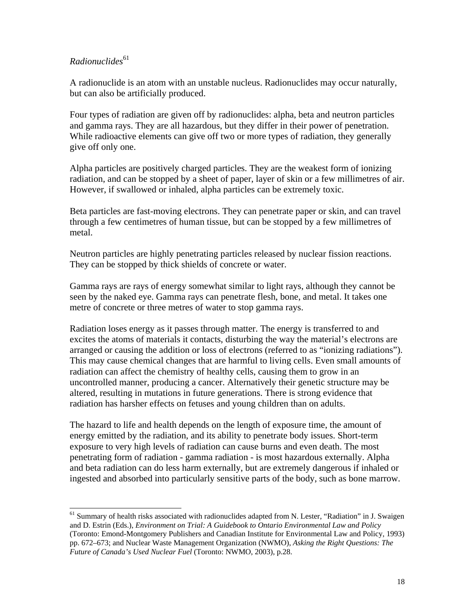# *Radionuclides*<sup>61</sup>

l

A radionuclide is an atom with an unstable nucleus. Radionuclides may occur naturally, but can also be artificially produced.

Four types of radiation are given off by radionuclides: alpha, beta and neutron particles and gamma rays. They are all hazardous, but they differ in their power of penetration. While radioactive elements can give off two or more types of radiation, they generally give off only one.

Alpha particles are positively charged particles. They are the weakest form of ionizing radiation, and can be stopped by a sheet of paper, layer of skin or a few millimetres of air. However, if swallowed or inhaled, alpha particles can be extremely toxic.

Beta particles are fast-moving electrons. They can penetrate paper or skin, and can travel through a few centimetres of human tissue, but can be stopped by a few millimetres of metal.

Neutron particles are highly penetrating particles released by nuclear fission reactions. They can be stopped by thick shields of concrete or water.

Gamma rays are rays of energy somewhat similar to light rays, although they cannot be seen by the naked eye. Gamma rays can penetrate flesh, bone, and metal. It takes one metre of concrete or three metres of water to stop gamma rays.

Radiation loses energy as it passes through matter. The energy is transferred to and excites the atoms of materials it contacts, disturbing the way the material's electrons are arranged or causing the addition or loss of electrons (referred to as "ionizing radiations"). This may cause chemical changes that are harmful to living cells. Even small amounts of radiation can affect the chemistry of healthy cells, causing them to grow in an uncontrolled manner, producing a cancer. Alternatively their genetic structure may be altered, resulting in mutations in future generations. There is strong evidence that radiation has harsher effects on fetuses and young children than on adults.

The hazard to life and health depends on the length of exposure time, the amount of energy emitted by the radiation, and its ability to penetrate body issues. Short-term exposure to very high levels of radiation can cause burns and even death. The most penetrating form of radiation - gamma radiation - is most hazardous externally. Alpha and beta radiation can do less harm externally, but are extremely dangerous if inhaled or ingested and absorbed into particularly sensitive parts of the body, such as bone marrow.

<sup>&</sup>lt;sup>61</sup> Summary of health risks associated with radionuclides adapted from N. Lester, "Radiation" in J. Swaigen and D. Estrin (Eds.), *Environment on Trial: A Guidebook to Ontario Environmental Law and Policy* (Toronto: Emond-Montgomery Publishers and Canadian Institute for Environmental Law and Policy, 1993) pp. 672–673; and Nuclear Waste Management Organization (NWMO), *Asking the Right Questions: The Future of Canada's Used Nuclear Fuel* (Toronto: NWMO, 2003), p.28.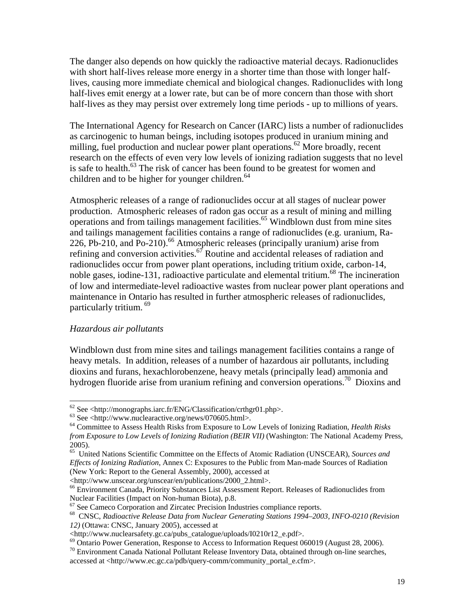The danger also depends on how quickly the radioactive material decays. Radionuclides with short half-lives release more energy in a shorter time than those with longer halflives, causing more immediate chemical and biological changes. Radionuclides with long half-lives emit energy at a lower rate, but can be of more concern than those with short half-lives as they may persist over extremely long time periods - up to millions of years.

The International Agency for Research on Cancer (IARC) lists a number of radionuclides as carcinogenic to human beings, including isotopes produced in uranium mining and milling, fuel production and nuclear power plant operations.<sup>62</sup> More broadly, recent research on the effects of even very low levels of ionizing radiation suggests that no level is safe to health. $^{63}$  The risk of cancer has been found to be greatest for women and children and to be higher for younger children. $64$ 

Atmospheric releases of a range of radionuclides occur at all stages of nuclear power production. Atmospheric releases of radon gas occur as a result of mining and milling operations and from tailings management facilities.<sup>65</sup> Windblown dust from mine sites and tailings management facilities contains a range of radionuclides (e.g. uranium, Ra-226, Pb-210, and Po-210).<sup>66</sup> Atmospheric releases (principally uranium) arise from refining and conversion activities.<sup>67</sup> Routine and accidental releases of radiation and radionuclides occur from power plant operations, including tritium oxide, carbon-14, noble gases, iodine-131, radioactive particulate and elemental tritium.<sup>68</sup> The incineration of low and intermediate-level radioactive wastes from nuclear power plant operations and maintenance in Ontario has resulted in further atmospheric releases of radionuclides, particularly tritium.<sup>69</sup>

#### *Hazardous air pollutants*

Windblown dust from mine sites and tailings management facilities contains a range of heavy metals. In addition, releases of a number of hazardous air pollutants, including dioxins and furans, hexachlorobenzene, heavy metals (principally lead) ammonia and hydrogen fluoride arise from uranium refining and conversion operations.<sup>70</sup> Dioxins and

 $^{62}$  See <http://monographs.iarc.fr/ENG/Classification/crthgr01.php>.

 $63$  See <http://www.nuclearactive.org/news/070605.html>.

<sup>64</sup> Committee to Assess Health Risks from Exposure to Low Levels of Ionizing Radiation, *Health Risks from Exposure to Low Levels of Ionizing Radiation (BEIR VII)* (Washington: The National Academy Press, 2005).

<sup>65</sup> United Nations Scientific Committee on the Effects of Atomic Radiation (UNSCEAR), *Sources and Effects of Ionizing Radiation*, Annex C: Exposures to the Public from Man-made Sources of Radiation (New York: Report to the General Assembly, 2000), accessed at

<sup>&</sup>lt;http://www.unscear.org/unscear/en/publications/2000\_2.html>. 66 Environment Canada, Priority Substances List Assessment Report. Releases of Radionuclides from Nuclear Facilities (Impact on Non-human Biota), p.8.<br><sup>67</sup> See Cameco Corporation and Zircatec Precision Industries compliance reports.

<sup>&</sup>lt;sup>68</sup> CNSC, *Radioactive Release Data from Nuclear Generating Stations 1994–2003, INFO-0210 (Revision 12)* (Ottawa: CNSC, January 2005), accessed at

<sup>&</sup>lt;http://www.nuclearsafety.gc.ca/pubs\_catalogue/uploads/I0210r12\_e.pdf>.

<sup>69</sup> Ontario Power Generation, Response to Access to Information Request 060019 (August 28, 2006).

<sup>&</sup>lt;sup>70</sup> Environment Canada National Pollutant Release Inventory Data, obtained through on-line searches,

accessed at <http://www.ec.gc.ca/pdb/query-comm/community\_portal\_e.cfm>.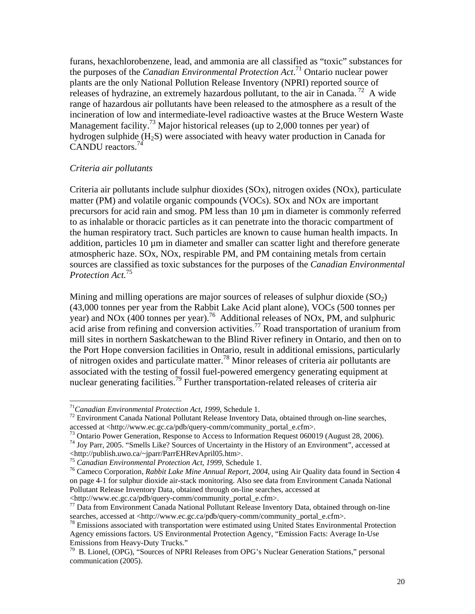furans, hexachlorobenzene, lead, and ammonia are all classified as "toxic" substances for the purposes of the *Canadian Environmental Protection Act*. 71 Ontario nuclear power plants are the only National Pollution Release Inventory (NPRI) reported source of releases of hydrazine, an extremely hazardous pollutant, to the air in Canada.<sup>72</sup> A wide range of hazardous air pollutants have been released to the atmosphere as a result of the incineration of low and intermediate-level radioactive wastes at the Bruce Western Waste Management facility.<sup>73</sup> Major historical releases (up to 2,000 tonnes per year) of hydrogen sulphide  $(H_2S)$  were associated with heavy water production in Canada for CANDU reactors.74

## *Criteria air pollutants*

Criteria air pollutants include sulphur dioxides (SOx), nitrogen oxides (NOx), particulate matter (PM) and volatile organic compounds (VOCs). SOx and NOx are important precursors for acid rain and smog. PM less than 10 µm in diameter is commonly referred to as inhalable or thoracic particles as it can penetrate into the thoracic compartment of the human respiratory tract. Such particles are known to cause human health impacts. In addition, particles 10  $\mu$ m in diameter and smaller can scatter light and therefore generate atmospheric haze. SOx, NOx, respirable PM, and PM containing metals from certain sources are classified as toxic substances for the purposes of the *Canadian Environmental Protection Act.*75

Mining and milling operations are major sources of releases of sulphur dioxide  $(SO<sub>2</sub>)$ (43,000 tonnes per year from the Rabbit Lake Acid plant alone), VOCs (500 tonnes per year) and NOx (400 tonnes per year).<sup>76</sup> Additional releases of NOx, PM, and sulphuric acid arise from refining and conversion activities.<sup>77</sup> Road transportation of uranium from mill sites in northern Saskatchewan to the Blind River refinery in Ontario, and then on to the Port Hope conversion facilities in Ontario, result in additional emissions, particularly of nitrogen oxides and particulate matter.78 Minor releases of criteria air pollutants are associated with the testing of fossil fuel-powered emergency generating equipment at nuclear generating facilities.<sup>79</sup> Further transportation-related releases of criteria air

 $17$ <sup>1</sup>Canadian Environmental Protection Act, 1999, Schedule 1.

<sup>&</sup>lt;sup>72</sup> Environment Canada National Pollutant Release Inventory Data, obtained through on-line searches, accessed at <http://www.ec.gc.ca/pdb/query-comm/community portal e.cfm>.

<sup>&</sup>lt;sup>73</sup> Ontario Power Generation, Response to Access to Information Request 060019 (August 28, 2006).

<sup>74</sup> Joy Parr, 2005. "Smells Like? Sources of Uncertainty in the History of an Environment", accessed at <http://publish.uwo.ca/~jparr/ParrEHRevApril05.htm>.<br><sup>75</sup> Canadian Environmental Protection Act, 1999, Schedule 1.<br><sup>75</sup> Cameco Corporation, Rabbit Lake Mine Annual Report, 2004, using Air Quality data found in Section 4

on page 4-1 for sulphur dioxide air-stack monitoring. Also see data from Environment Canada National Pollutant Release Inventory Data, obtained through on-line searches, accessed at

<sup>&</sup>lt;http://www.ec.gc.ca/pdb/query-comm/community\_portal\_e.cfm>. 77 Data from Environment Canada National Pollutant Release Inventory Data, obtained through on-line searches, accessed at <http://www.ec.gc.ca/pdb/query-comm/community\_portal\_e.cfm>.<br><sup>78</sup> Emissions associated with transportation were estimated using United States Environmental Protection

Agency emissions factors. US Environmental Protection Agency, "Emission Facts: Average In-Use Emissions from Heavy-Duty Trucks."

<sup>79</sup> B. Lionel, (OPG), "Sources of NPRI Releases from OPG's Nuclear Generation Stations," personal communication (2005).